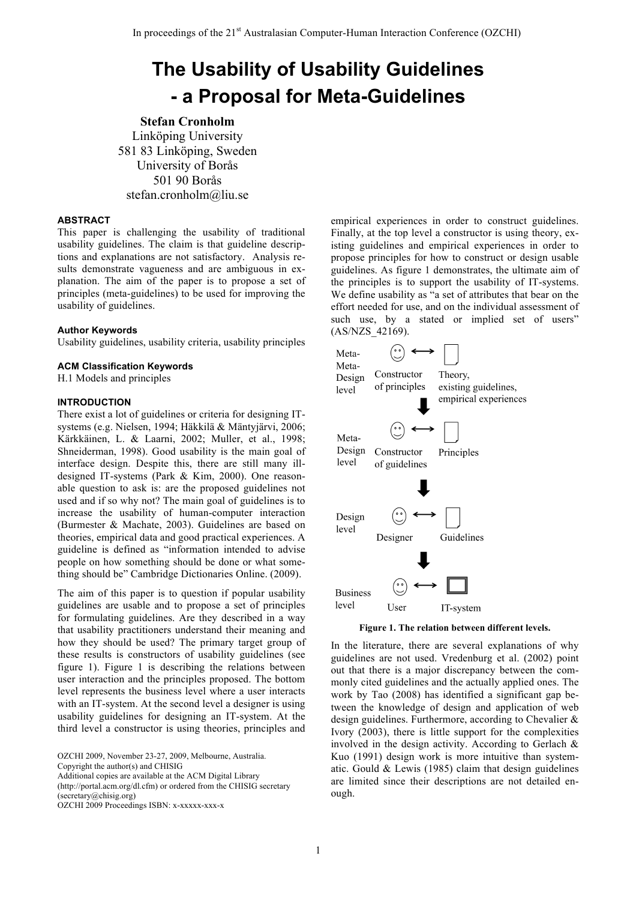# **The Usability of Usability Guidelines - a Proposal for Meta-Guidelines**

# **Stefan Cronholm**

Linköping University 581 83 Linköping, Sweden University of Borås 501 90 Borås stefan.cronholm@liu.se

# **ABSTRACT**

This paper is challenging the usability of traditional usability guidelines. The claim is that guideline descriptions and explanations are not satisfactory. Analysis results demonstrate vagueness and are ambiguous in explanation. The aim of the paper is to propose a set of principles (meta-guidelines) to be used for improving the usability of guidelines.

#### **Author Keywords**

Usability guidelines, usability criteria, usability principles

#### **ACM Classification Keywords**

H.1 Models and principles

## **INTRODUCTION**

There exist a lot of guidelines or criteria for designing ITsystems (e.g. Nielsen, 1994; Häkkilä & Mäntyjärvi, 2006; Kärkkäinen, L. & Laarni, 2002; Muller, et al., 1998; Shneiderman, 1998). Good usability is the main goal of interface design. Despite this, there are still many illdesigned IT-systems (Park & Kim, 2000). One reasonable question to ask is: are the proposed guidelines not used and if so why not? The main goal of guidelines is to increase the usability of human-computer interaction (Burmester & Machate, 2003). Guidelines are based on theories, empirical data and good practical experiences. A guideline is defined as "information intended to advise people on how something should be done or what something should be" Cambridge Dictionaries Online. (2009).

The aim of this paper is to question if popular usability guidelines are usable and to propose a set of principles for formulating guidelines. Are they described in a way that usability practitioners understand their meaning and how they should be used? The primary target group of these results is constructors of usability guidelines (see figure 1). Figure 1 is describing the relations between user interaction and the principles proposed. The bottom level represents the business level where a user interacts with an IT-system. At the second level a designer is using usability guidelines for designing an IT-system. At the third level a constructor is using theories, principles and

OZCHI 2009, November 23-27, 2009, Melbourne, Australia.

Copyright the author(s) and CHISIG

Additional copies are available at the ACM Digital Library

(http://portal.acm.org/dl.cfm) or ordered from the CHISIG secretary (secretary@chisig.org)

OZCHI 2009 Proceedings ISBN: x-xxxxx-xxx-x

empirical experiences in order to construct guidelines. Finally, at the top level a constructor is using theory, existing guidelines and empirical experiences in order to propose principles for how to construct or design usable guidelines. As figure 1 demonstrates, the ultimate aim of the principles is to support the usability of IT-systems. We define usability as "a set of attributes that bear on the effort needed for use, and on the individual assessment of such use, by a stated or implied set of users" (AS/NZS\_42169).



**Figure 1. The relation between different levels.**

In the literature, there are several explanations of why guidelines are not used. Vredenburg et al. (2002) point out that there is a major discrepancy between the commonly cited guidelines and the actually applied ones. The work by Tao (2008) has identified a significant gap between the knowledge of design and application of web design guidelines. Furthermore, according to Chevalier & Ivory (2003), there is little support for the complexities involved in the design activity. According to Gerlach & Kuo (1991) design work is more intuitive than systematic. Gould  $&$  Lewis (1985) claim that design guidelines are limited since their descriptions are not detailed enough.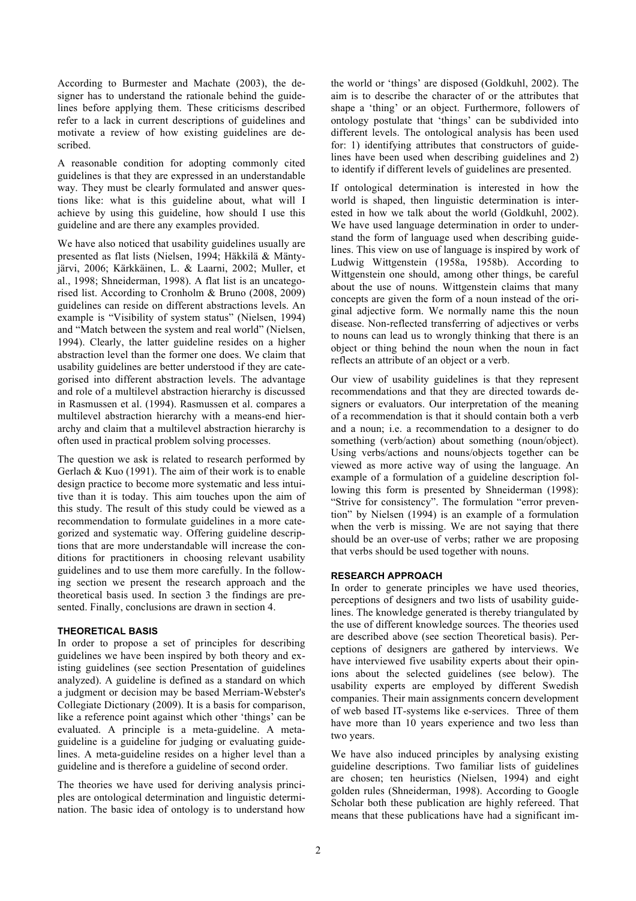According to Burmester and Machate (2003), the designer has to understand the rationale behind the guidelines before applying them. These criticisms described refer to a lack in current descriptions of guidelines and motivate a review of how existing guidelines are described.

A reasonable condition for adopting commonly cited guidelines is that they are expressed in an understandable way. They must be clearly formulated and answer questions like: what is this guideline about, what will I achieve by using this guideline, how should I use this guideline and are there any examples provided.

We have also noticed that usability guidelines usually are presented as flat lists (Nielsen, 1994; Häkkilä & Mäntyjärvi, 2006; Kärkkäinen, L. & Laarni, 2002; Muller, et al., 1998; Shneiderman, 1998). A flat list is an uncategorised list. According to Cronholm & Bruno (2008, 2009) guidelines can reside on different abstractions levels. An example is "Visibility of system status" (Nielsen, 1994) and "Match between the system and real world" (Nielsen, 1994). Clearly, the latter guideline resides on a higher abstraction level than the former one does. We claim that usability guidelines are better understood if they are categorised into different abstraction levels. The advantage and role of a multilevel abstraction hierarchy is discussed in Rasmussen et al. (1994). Rasmussen et al. compares a multilevel abstraction hierarchy with a means-end hierarchy and claim that a multilevel abstraction hierarchy is often used in practical problem solving processes.

The question we ask is related to research performed by Gerlach & Kuo (1991). The aim of their work is to enable design practice to become more systematic and less intuitive than it is today. This aim touches upon the aim of this study. The result of this study could be viewed as a recommendation to formulate guidelines in a more categorized and systematic way. Offering guideline descriptions that are more understandable will increase the conditions for practitioners in choosing relevant usability guidelines and to use them more carefully. In the following section we present the research approach and the theoretical basis used. In section 3 the findings are presented. Finally, conclusions are drawn in section 4.

## **THEORETICAL BASIS**

In order to propose a set of principles for describing guidelines we have been inspired by both theory and existing guidelines (see section Presentation of guidelines analyzed). A guideline is defined as a standard on which a judgment or decision may be based Merriam-Webster's Collegiate Dictionary (2009). It is a basis for comparison, like a reference point against which other 'things' can be evaluated. A principle is a meta-guideline. A metaguideline is a guideline for judging or evaluating guidelines. A meta-guideline resides on a higher level than a guideline and is therefore a guideline of second order.

The theories we have used for deriving analysis principles are ontological determination and linguistic determination. The basic idea of ontology is to understand how the world or 'things' are disposed (Goldkuhl, 2002). The aim is to describe the character of or the attributes that shape a 'thing' or an object. Furthermore, followers of ontology postulate that 'things' can be subdivided into different levels. The ontological analysis has been used for: 1) identifying attributes that constructors of guidelines have been used when describing guidelines and 2) to identify if different levels of guidelines are presented.

If ontological determination is interested in how the world is shaped, then linguistic determination is interested in how we talk about the world (Goldkuhl, 2002). We have used language determination in order to understand the form of language used when describing guidelines. This view on use of language is inspired by work of Ludwig Wittgenstein (1958a, 1958b). According to Wittgenstein one should, among other things, be careful about the use of nouns. Wittgenstein claims that many concepts are given the form of a noun instead of the original adjective form. We normally name this the noun disease. Non-reflected transferring of adjectives or verbs to nouns can lead us to wrongly thinking that there is an object or thing behind the noun when the noun in fact reflects an attribute of an object or a verb.

Our view of usability guidelines is that they represent recommendations and that they are directed towards designers or evaluators. Our interpretation of the meaning of a recommendation is that it should contain both a verb and a noun; i.e. a recommendation to a designer to do something (verb/action) about something (noun/object). Using verbs/actions and nouns/objects together can be viewed as more active way of using the language. An example of a formulation of a guideline description following this form is presented by Shneiderman (1998): "Strive for consistency". The formulation "error prevention" by Nielsen (1994) is an example of a formulation when the verb is missing. We are not saying that there should be an over-use of verbs; rather we are proposing that verbs should be used together with nouns.

#### **RESEARCH APPROACH**

In order to generate principles we have used theories, perceptions of designers and two lists of usability guidelines. The knowledge generated is thereby triangulated by the use of different knowledge sources. The theories used are described above (see section Theoretical basis). Perceptions of designers are gathered by interviews. We have interviewed five usability experts about their opinions about the selected guidelines (see below). The usability experts are employed by different Swedish companies. Their main assignments concern development of web based IT-systems like e-services. Three of them have more than 10 years experience and two less than two years.

We have also induced principles by analysing existing guideline descriptions. Two familiar lists of guidelines are chosen; ten heuristics (Nielsen, 1994) and eight golden rules (Shneiderman, 1998). According to Google Scholar both these publication are highly refereed. That means that these publications have had a significant im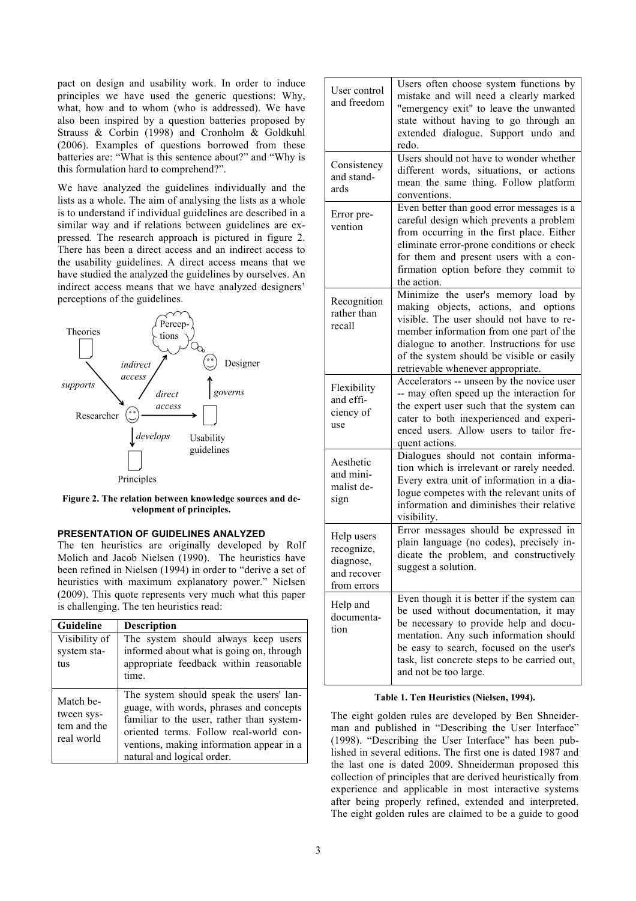pact on design and usability work. In order to induce principles we have used the generic questions: Why, what, how and to whom (who is addressed). We have also been inspired by a question batteries proposed by Strauss & Corbin (1998) and Cronholm & Goldkuhl (2006). Examples of questions borrowed from these batteries are: "What is this sentence about?" and "Why is this formulation hard to comprehend?".

We have analyzed the guidelines individually and the lists as a whole. The aim of analysing the lists as a whole is to understand if individual guidelines are described in a similar way and if relations between guidelines are expressed. The research approach is pictured in figure 2. There has been a direct access and an indirect access to the usability guidelines. A direct access means that we have studied the analyzed the guidelines by ourselves. An indirect access means that we have analyzed designers' perceptions of the guidelines.



**Figure 2. The relation between knowledge sources and development of principles.**

### **PRESENTATION OF GUIDELINES ANALYZED**

The ten heuristics are originally developed by Rolf Molich and Jacob Nielsen (1990). The heuristics have been refined in Nielsen (1994) in order to "derive a set of heuristics with maximum explanatory power." Nielsen (2009). This quote represents very much what this paper is challenging. The ten heuristics read:

| <b>Guideline</b>                                     | <b>Description</b>                                                                                                                                                                                                                                  |
|------------------------------------------------------|-----------------------------------------------------------------------------------------------------------------------------------------------------------------------------------------------------------------------------------------------------|
| Visibility of<br>system sta-<br>tus                  | The system should always keep users<br>informed about what is going on, through<br>appropriate feedback within reasonable<br>time.                                                                                                                  |
| Match be-<br>tween sys-<br>tem and the<br>real world | The system should speak the users' lan-<br>guage, with words, phrases and concepts<br>familiar to the user, rather than system-<br>oriented terms. Follow real-world con-<br>ventions, making information appear in a<br>natural and logical order. |

| User control<br>and freedom                                         | Users often choose system functions by<br>mistake and will need a clearly marked<br>"emergency exit" to leave the unwanted<br>state without having to go through an<br>extended dialogue. Support undo and<br>redo.                                                                              |
|---------------------------------------------------------------------|--------------------------------------------------------------------------------------------------------------------------------------------------------------------------------------------------------------------------------------------------------------------------------------------------|
| Consistency<br>and stand-<br>ards                                   | Users should not have to wonder whether<br>different words, situations, or actions<br>mean the same thing. Follow platform<br>conventions.                                                                                                                                                       |
| Error pre-<br>vention                                               | Even better than good error messages is a<br>careful design which prevents a problem<br>from occurring in the first place. Either<br>eliminate error-prone conditions or check<br>for them and present users with a con-<br>firmation option before they commit to<br>the action.                |
| Recognition<br>rather than<br>recall                                | Minimize the user's memory load by<br>making objects, actions, and options<br>visible. The user should not have to re-<br>member information from one part of the<br>dialogue to another. Instructions for use<br>of the system should be visible or easily<br>retrievable whenever appropriate. |
| Flexibility<br>and effi-<br>ciency of<br>use                        | Accelerators -- unseen by the novice user<br>-- may often speed up the interaction for<br>the expert user such that the system can<br>cater to both inexperienced and experi-<br>enced users. Allow users to tailor fre-<br>quent actions.                                                       |
| Aesthetic<br>and mini-<br>malist de-<br>sign                        | Dialogues should not contain informa-<br>tion which is irrelevant or rarely needed.<br>Every extra unit of information in a dia-<br>logue competes with the relevant units of<br>information and diminishes their relative<br>visibility.                                                        |
| Help users<br>recognize,<br>diagnose,<br>and recover<br>from errors | Error messages should be expressed in<br>plain language (no codes), precisely in-<br>dicate the problem, and constructively<br>suggest a solution.                                                                                                                                               |
| Help and<br>documenta-<br>tion                                      | Even though it is better if the system can<br>be used without documentation, it may<br>be necessary to provide help and docu-<br>mentation. Any such information should<br>be easy to search, focused on the user's<br>task, list concrete steps to be carried out,<br>and not be too large.     |

### **Table 1. Ten Heuristics (Nielsen, 1994).**

The eight golden rules are developed by Ben Shneiderman and published in "Describing the User Interface" (1998). "Describing the User Interface" has been published in several editions. The first one is dated 1987 and the last one is dated 2009. Shneiderman proposed this collection of principles that are derived heuristically from experience and applicable in most interactive systems after being properly refined, extended and interpreted. The eight golden rules are claimed to be a guide to good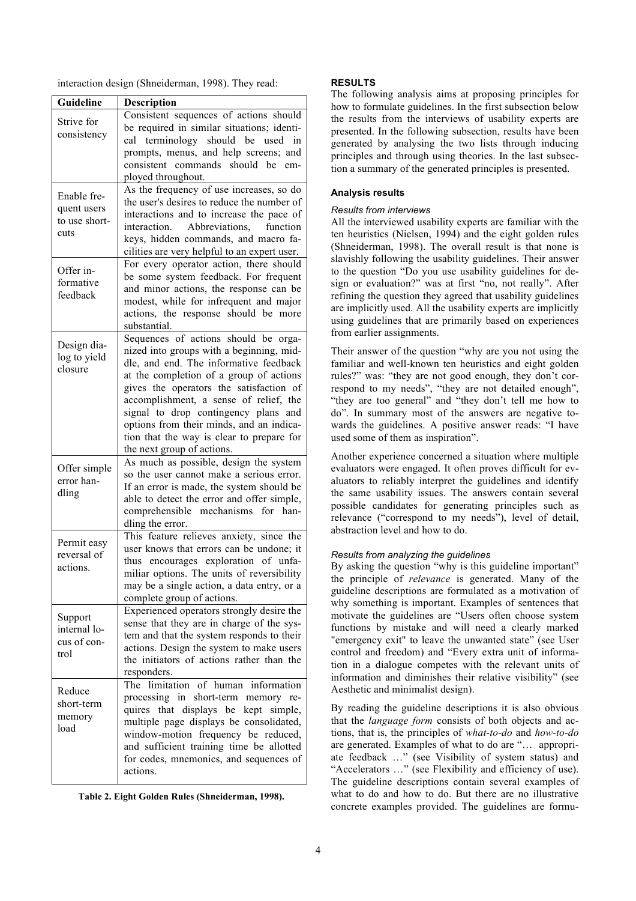interaction design (Shneiderman, 1998). They read:

| Guideline                                           | <b>Description</b>                                                                                                                                                                                                                                                                                                                                                                                                        |
|-----------------------------------------------------|---------------------------------------------------------------------------------------------------------------------------------------------------------------------------------------------------------------------------------------------------------------------------------------------------------------------------------------------------------------------------------------------------------------------------|
| Strive for<br>consistency                           | Consistent sequences of actions should<br>be required in similar situations; identi-<br>cal terminology should be<br>used<br>in<br>prompts, menus, and help screens; and<br>consistent commands should be<br>em-<br>ployed throughout.                                                                                                                                                                                    |
| Enable fre-<br>quent users<br>to use short-<br>cuts | As the frequency of use increases, so do<br>the user's desires to reduce the number of<br>interactions and to increase the pace of<br>interaction. Abbreviations,<br>function<br>keys, hidden commands, and macro fa-<br>cilities are very helpful to an expert user.                                                                                                                                                     |
| Offer in-<br>formative<br>feedback                  | For every operator action, there should<br>be some system feedback. For frequent<br>and minor actions, the response can be<br>modest, while for infrequent and major<br>actions, the response should be more<br>substantial.                                                                                                                                                                                              |
| Design dia-<br>log to yield<br>closure              | Sequences of actions should be orga-<br>nized into groups with a beginning, mid-<br>dle, and end. The informative feedback<br>at the completion of a group of actions<br>gives the operators the satisfaction of<br>accomplishment, a sense of relief, the<br>signal to drop contingency plans and<br>options from their minds, and an indica-<br>tion that the way is clear to prepare for<br>the next group of actions. |
| Offer simple<br>error han-<br>dling                 | As much as possible, design the system<br>so the user cannot make a serious error.<br>If an error is made, the system should be<br>able to detect the error and offer simple,<br>comprehensible mechanisms for han-<br>dling the error.                                                                                                                                                                                   |
| Permit easy<br>reversal of<br>actions.              | This feature relieves anxiety, since the<br>user knows that errors can be undone; it<br>thus encourages exploration of unfa-<br>miliar options. The units of reversibility<br>may be a single action, a data entry, or a<br>complete group of actions.                                                                                                                                                                    |
| Support<br>internal lo-<br>cus of con-<br>trol      | Experienced operators strongly desire the<br>sense that they are in charge of the sys-<br>tem and that the system responds to their<br>actions. Design the system to make users<br>the initiators of actions rather than the<br>responders.                                                                                                                                                                               |
| Reduce<br>short-term<br>memory<br>load              | The limitation of human information<br>processing in short-term memory<br>re-<br>quires that displays be kept<br>simple,<br>multiple page displays be consolidated,<br>window-motion frequency be reduced,<br>and sufficient training time be allotted<br>for codes, mnemonics, and sequences of<br>actions.                                                                                                              |

**Table 2. Eight Golden Rules (Shneiderman, 1998).**

## **RESULTS**

The following analysis aims at proposing principles for how to formulate guidelines. In the first subsection below the results from the interviews of usability experts are presented. In the following subsection, results have been generated by analysing the two lists through inducing principles and through using theories. In the last subsection a summary of the generated principles is presented.

# **Analysis results**

## *Results from interviews*

All the interviewed usability experts are familiar with the ten heuristics (Nielsen, 1994) and the eight golden rules (Shneiderman, 1998). The overall result is that none is slavishly following the usability guidelines. Their answer to the question "Do you use usability guidelines for design or evaluation?" was at first "no, not really". After refining the question they agreed that usability guidelines are implicitly used. All the usability experts are implicitly using guidelines that are primarily based on experiences from earlier assignments.

Their answer of the question "why are you not using the familiar and well-known ten heuristics and eight golden rules?" was: "they are not good enough, they don't correspond to my needs", "they are not detailed enough", "they are too general" and "they don't tell me how to do". In summary most of the answers are negative towards the guidelines. A positive answer reads: "I have used some of them as inspiration".

Another experience concerned a situation where multiple evaluators were engaged. It often proves difficult for evaluators to reliably interpret the guidelines and identify the same usability issues. The answers contain several possible candidates for generating principles such as relevance ("correspond to my needs"), level of detail, abstraction level and how to do.

# *Results from analyzing the guidelines*

By asking the question "why is this guideline important" the principle of *relevance* is generated. Many of the guideline descriptions are formulated as a motivation of why something is important. Examples of sentences that motivate the guidelines are "Users often choose system functions by mistake and will need a clearly marked "emergency exit" to leave the unwanted state" (see User control and freedom) and "Every extra unit of information in a dialogue competes with the relevant units of information and diminishes their relative visibility" (see Aesthetic and minimalist design).

By reading the guideline descriptions it is also obvious that the *language form* consists of both objects and actions, that is, the principles of *what-to-do* and *how-to-do* are generated. Examples of what to do are "… appropriate feedback …" (see Visibility of system status) and "Accelerators …" (see Flexibility and efficiency of use). The guideline descriptions contain several examples of what to do and how to do. But there are no illustrative concrete examples provided. The guidelines are formu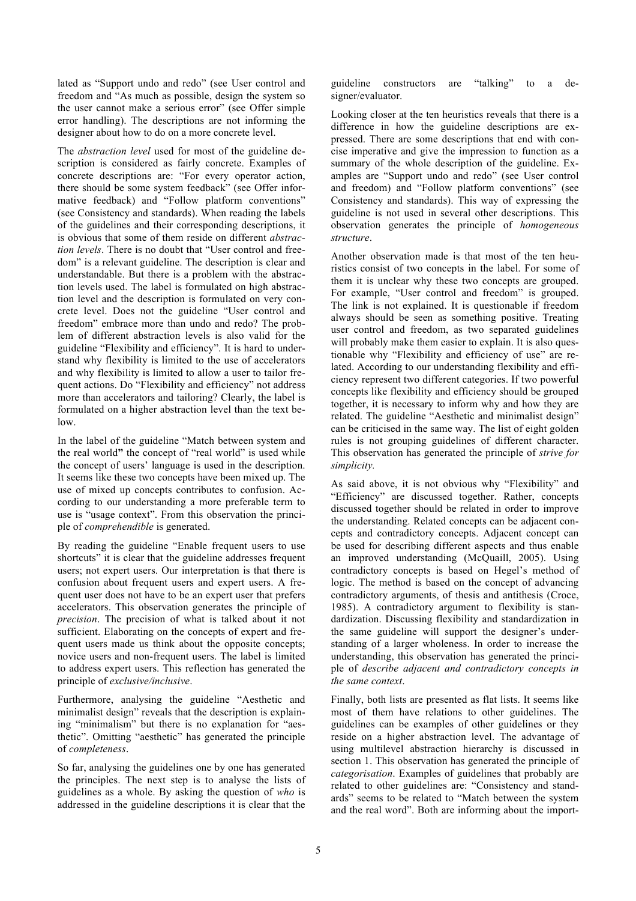lated as "Support undo and redo" (see User control and freedom and "As much as possible, design the system so the user cannot make a serious error" (see Offer simple error handling). The descriptions are not informing the designer about how to do on a more concrete level.

The *abstraction level* used for most of the guideline description is considered as fairly concrete. Examples of concrete descriptions are: "For every operator action, there should be some system feedback" (see Offer informative feedback) and "Follow platform conventions" (see Consistency and standards). When reading the labels of the guidelines and their corresponding descriptions, it is obvious that some of them reside on different *abstraction levels*. There is no doubt that "User control and freedom" is a relevant guideline. The description is clear and understandable. But there is a problem with the abstraction levels used. The label is formulated on high abstraction level and the description is formulated on very concrete level. Does not the guideline "User control and freedom" embrace more than undo and redo? The problem of different abstraction levels is also valid for the guideline "Flexibility and efficiency". It is hard to understand why flexibility is limited to the use of accelerators and why flexibility is limited to allow a user to tailor frequent actions. Do "Flexibility and efficiency" not address more than accelerators and tailoring? Clearly, the label is formulated on a higher abstraction level than the text below.

In the label of the guideline "Match between system and the real world**"** the concept of "real world" is used while the concept of users' language is used in the description. It seems like these two concepts have been mixed up. The use of mixed up concepts contributes to confusion. According to our understanding a more preferable term to use is "usage context". From this observation the principle of *comprehendible* is generated.

By reading the guideline "Enable frequent users to use shortcuts" it is clear that the guideline addresses frequent users; not expert users. Our interpretation is that there is confusion about frequent users and expert users. A frequent user does not have to be an expert user that prefers accelerators. This observation generates the principle of *precision*. The precision of what is talked about it not sufficient. Elaborating on the concepts of expert and frequent users made us think about the opposite concepts; novice users and non-frequent users. The label is limited to address expert users. This reflection has generated the principle of *exclusive/inclusive*.

Furthermore, analysing the guideline "Aesthetic and minimalist design" reveals that the description is explaining "minimalism" but there is no explanation for "aesthetic". Omitting "aesthetic" has generated the principle of *completeness*.

So far, analysing the guidelines one by one has generated the principles. The next step is to analyse the lists of guidelines as a whole. By asking the question of *who* is addressed in the guideline descriptions it is clear that the guideline constructors are "talking" to a designer/evaluator.

Looking closer at the ten heuristics reveals that there is a difference in how the guideline descriptions are expressed. There are some descriptions that end with concise imperative and give the impression to function as a summary of the whole description of the guideline. Examples are "Support undo and redo" (see User control and freedom) and "Follow platform conventions" (see Consistency and standards). This way of expressing the guideline is not used in several other descriptions. This observation generates the principle of *homogeneous structure*.

Another observation made is that most of the ten heuristics consist of two concepts in the label. For some of them it is unclear why these two concepts are grouped. For example, "User control and freedom" is grouped. The link is not explained. It is questionable if freedom always should be seen as something positive. Treating user control and freedom, as two separated guidelines will probably make them easier to explain. It is also questionable why "Flexibility and efficiency of use" are related. According to our understanding flexibility and efficiency represent two different categories. If two powerful concepts like flexibility and efficiency should be grouped together, it is necessary to inform why and how they are related. The guideline "Aesthetic and minimalist design" can be criticised in the same way. The list of eight golden rules is not grouping guidelines of different character. This observation has generated the principle of *strive for simplicity.*

As said above, it is not obvious why "Flexibility" and "Efficiency" are discussed together. Rather, concepts discussed together should be related in order to improve the understanding. Related concepts can be adjacent concepts and contradictory concepts. Adjacent concept can be used for describing different aspects and thus enable an improved understanding (McQuaill, 2005). Using contradictory concepts is based on Hegel's method of logic. The method is based on the concept of advancing contradictory arguments, of thesis and antithesis (Croce, 1985). A contradictory argument to flexibility is standardization. Discussing flexibility and standardization in the same guideline will support the designer's understanding of a larger wholeness. In order to increase the understanding, this observation has generated the principle of *describe adjacent and contradictory concepts in the same context*.

Finally, both lists are presented as flat lists. It seems like most of them have relations to other guidelines. The guidelines can be examples of other guidelines or they reside on a higher abstraction level. The advantage of using multilevel abstraction hierarchy is discussed in section 1. This observation has generated the principle of *categorisation*. Examples of guidelines that probably are related to other guidelines are: "Consistency and standards" seems to be related to "Match between the system and the real word". Both are informing about the import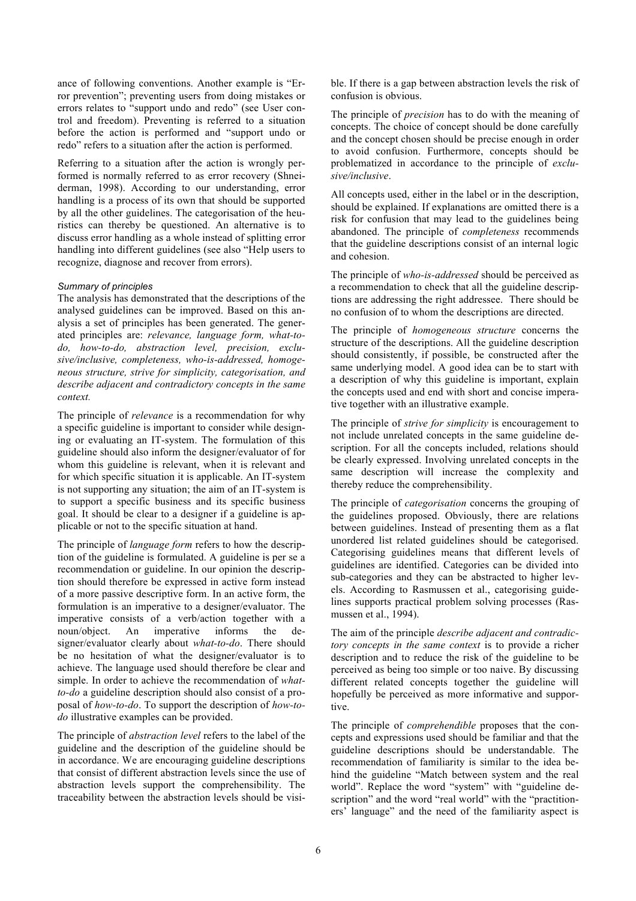ance of following conventions. Another example is "Error prevention"; preventing users from doing mistakes or errors relates to "support undo and redo" (see User control and freedom). Preventing is referred to a situation before the action is performed and "support undo or redo" refers to a situation after the action is performed.

Referring to a situation after the action is wrongly performed is normally referred to as error recovery (Shneiderman, 1998). According to our understanding, error handling is a process of its own that should be supported by all the other guidelines. The categorisation of the heuristics can thereby be questioned. An alternative is to discuss error handling as a whole instead of splitting error handling into different guidelines (see also "Help users to recognize, diagnose and recover from errors).

#### *Summary of principles*

The analysis has demonstrated that the descriptions of the analysed guidelines can be improved. Based on this analysis a set of principles has been generated. The generated principles are: *relevance, language form, what-todo, how-to-do, abstraction level, precision, exclusive/inclusive, completeness, who-is-addressed, homogeneous structure, strive for simplicity, categorisation, and describe adjacent and contradictory concepts in the same context.*

The principle of *relevance* is a recommendation for why a specific guideline is important to consider while designing or evaluating an IT-system. The formulation of this guideline should also inform the designer/evaluator of for whom this guideline is relevant, when it is relevant and for which specific situation it is applicable. An IT-system is not supporting any situation; the aim of an IT-system is to support a specific business and its specific business goal. It should be clear to a designer if a guideline is applicable or not to the specific situation at hand.

The principle of *language form* refers to how the description of the guideline is formulated. A guideline is per se a recommendation or guideline. In our opinion the description should therefore be expressed in active form instead of a more passive descriptive form. In an active form, the formulation is an imperative to a designer/evaluator. The imperative consists of a verb/action together with a noun/object. An imperative informs the designer/evaluator clearly about *what-to-do*. There should be no hesitation of what the designer/evaluator is to achieve. The language used should therefore be clear and simple. In order to achieve the recommendation of *whatto-do* a guideline description should also consist of a proposal of *how-to-do*. To support the description of *how-todo* illustrative examples can be provided.

The principle of *abstraction level* refers to the label of the guideline and the description of the guideline should be in accordance. We are encouraging guideline descriptions that consist of different abstraction levels since the use of abstraction levels support the comprehensibility. The traceability between the abstraction levels should be visible. If there is a gap between abstraction levels the risk of confusion is obvious.

The principle of *precision* has to do with the meaning of concepts. The choice of concept should be done carefully and the concept chosen should be precise enough in order to avoid confusion. Furthermore, concepts should be problematized in accordance to the principle of *exclusive/inclusive*.

All concepts used, either in the label or in the description, should be explained. If explanations are omitted there is a risk for confusion that may lead to the guidelines being abandoned. The principle of *completeness* recommends that the guideline descriptions consist of an internal logic and cohesion.

The principle of *who-is-addressed* should be perceived as a recommendation to check that all the guideline descriptions are addressing the right addressee. There should be no confusion of to whom the descriptions are directed.

The principle of *homogeneous structure* concerns the structure of the descriptions. All the guideline description should consistently, if possible, be constructed after the same underlying model. A good idea can be to start with a description of why this guideline is important, explain the concepts used and end with short and concise imperative together with an illustrative example.

The principle of *strive for simplicity* is encouragement to not include unrelated concepts in the same guideline description. For all the concepts included, relations should be clearly expressed. Involving unrelated concepts in the same description will increase the complexity and thereby reduce the comprehensibility.

The principle of *categorisation* concerns the grouping of the guidelines proposed. Obviously, there are relations between guidelines. Instead of presenting them as a flat unordered list related guidelines should be categorised. Categorising guidelines means that different levels of guidelines are identified. Categories can be divided into sub-categories and they can be abstracted to higher levels. According to Rasmussen et al., categorising guidelines supports practical problem solving processes (Rasmussen et al., 1994).

The aim of the principle *describe adjacent and contradictory concepts in the same context* is to provide a richer description and to reduce the risk of the guideline to be perceived as being too simple or too naive. By discussing different related concepts together the guideline will hopefully be perceived as more informative and supportive.

The principle of *comprehendible* proposes that the concepts and expressions used should be familiar and that the guideline descriptions should be understandable. The recommendation of familiarity is similar to the idea behind the guideline "Match between system and the real world". Replace the word "system" with "guideline description" and the word "real world" with the "practitioners' language" and the need of the familiarity aspect is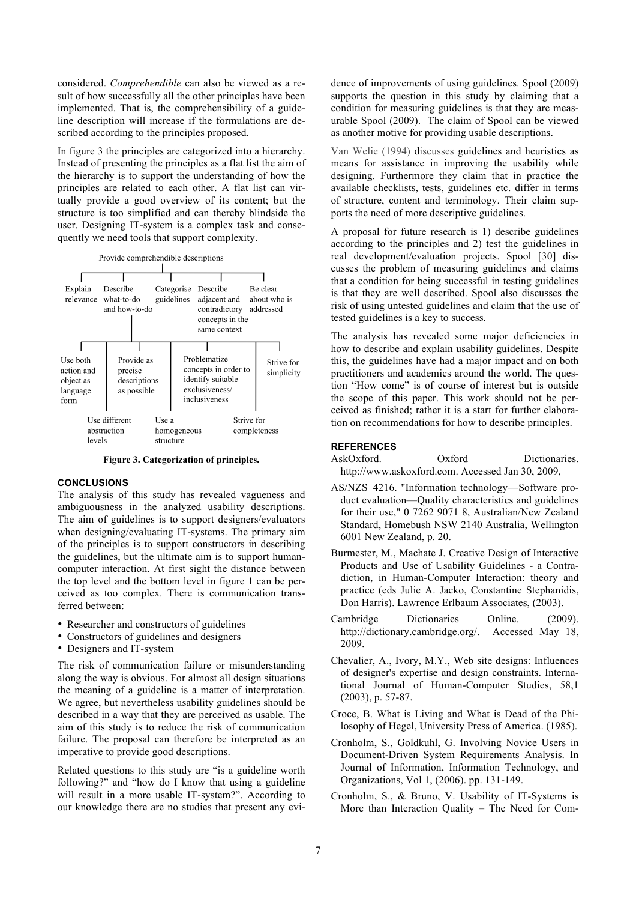considered. *Comprehendible* can also be viewed as a result of how successfully all the other principles have been implemented. That is, the comprehensibility of a guideline description will increase if the formulations are described according to the principles proposed.

In figure 3 the principles are categorized into a hierarchy. Instead of presenting the principles as a flat list the aim of the hierarchy is to support the understanding of how the principles are related to each other. A flat list can virtually provide a good overview of its content; but the structure is too simplified and can thereby blindside the user. Designing IT-system is a complex task and consequently we need tools that support complexity.



**Figure 3. Categorization of principles.**

#### **CONCLUSIONS**

The analysis of this study has revealed vagueness and ambiguousness in the analyzed usability descriptions. The aim of guidelines is to support designers/evaluators when designing/evaluating IT-systems. The primary aim of the principles is to support constructors in describing the guidelines, but the ultimate aim is to support humancomputer interaction. At first sight the distance between the top level and the bottom level in figure 1 can be perceived as too complex. There is communication transferred between:

- Researcher and constructors of guidelines
- Constructors of guidelines and designers
- Designers and IT-system

The risk of communication failure or misunderstanding along the way is obvious. For almost all design situations the meaning of a guideline is a matter of interpretation. We agree, but nevertheless usability guidelines should be described in a way that they are perceived as usable. The aim of this study is to reduce the risk of communication failure. The proposal can therefore be interpreted as an imperative to provide good descriptions.

Related questions to this study are "is a guideline worth following?" and "how do I know that using a guideline will result in a more usable IT-system?". According to our knowledge there are no studies that present any evidence of improvements of using guidelines. Spool (2009) supports the question in this study by claiming that a condition for measuring guidelines is that they are measurable Spool (2009). The claim of Spool can be viewed as another motive for providing usable descriptions.

Van Welie (1994) discusses guidelines and heuristics as means for assistance in improving the usability while designing. Furthermore they claim that in practice the available checklists, tests, guidelines etc. differ in terms of structure, content and terminology. Their claim supports the need of more descriptive guidelines.

A proposal for future research is 1) describe guidelines according to the principles and 2) test the guidelines in real development/evaluation projects. Spool [30] discusses the problem of measuring guidelines and claims that a condition for being successful in testing guidelines is that they are well described. Spool also discusses the risk of using untested guidelines and claim that the use of tested guidelines is a key to success.

The analysis has revealed some major deficiencies in how to describe and explain usability guidelines. Despite this, the guidelines have had a major impact and on both practitioners and academics around the world. The question "How come" is of course of interest but is outside the scope of this paper. This work should not be perceived as finished; rather it is a start for further elaboration on recommendations for how to describe principles.

### **REFERENCES**

- AskOxford. Oxford Dictionaries. http://www.askoxford.com. Accessed Jan 30, 2009,
- AS/NZS\_4216. "Information technology—Software product evaluation—Quality characteristics and guidelines for their use," 0 7262 9071 8, Australian/New Zealand Standard, Homebush NSW 2140 Australia, Wellington 6001 New Zealand, p. 20.
- Burmester, M., Machate J. Creative Design of Interactive Products and Use of Usability Guidelines - a Contradiction, in Human-Computer Interaction: theory and practice (eds Julie A. Jacko, Constantine Stephanidis, Don Harris). Lawrence Erlbaum Associates, (2003).
- Cambridge Dictionaries Online. (2009). http://dictionary.cambridge.org/. Accessed May 18, 2009.
- Chevalier, A., Ivory, M.Y., Web site designs: Influences of designer's expertise and design constraints. International Journal of Human-Computer Studies, 58,1 (2003), p. 57-87.
- Croce, B. What is Living and What is Dead of the Philosophy of Hegel, University Press of America. (1985).
- Cronholm, S., Goldkuhl, G. Involving Novice Users in Document-Driven System Requirements Analysis. In Journal of Information, Information Technology, and Organizations, Vol 1, (2006). pp. 131-149.
- Cronholm, S., & Bruno, V. Usability of IT-Systems is More than Interaction Quality – The Need for Com-